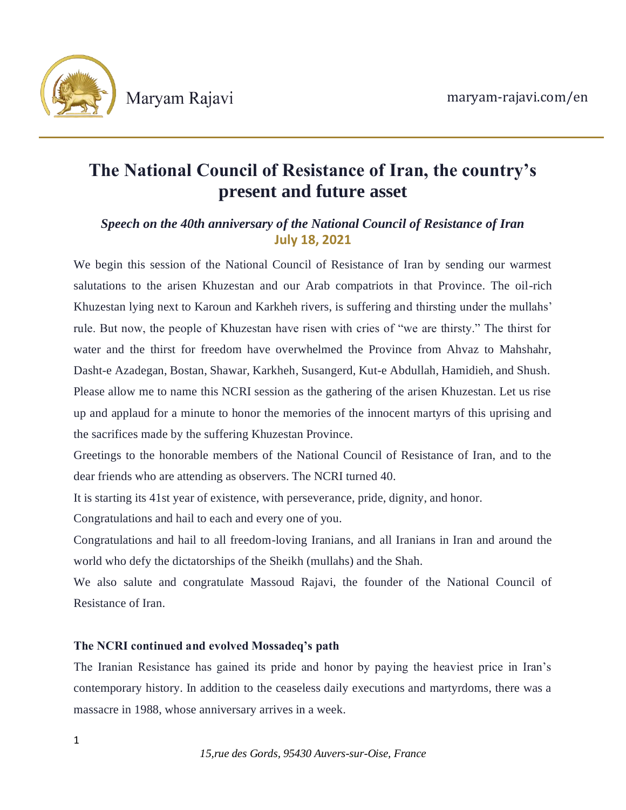

# **The National Council of Resistance of Iran, the country's present and future asset**

## *Speech on the 40th anniversary of the National Council of Resistance of Iran* **July 18, 2021**

We begin this session of the National Council of Resistance of Iran by sending our warmest salutations to the arisen Khuzestan and our Arab compatriots in that Province. The oil-rich Khuzestan lying next to Karoun and Karkheh rivers, is suffering and thirsting under the mullahs' rule. But now, the people of Khuzestan have risen with cries of "we are thirsty." The thirst for water and the thirst for freedom have overwhelmed the Province from Ahvaz to Mahshahr, Dasht-e Azadegan, Bostan, Shawar, Karkheh, Susangerd, Kut-e Abdullah, Hamidieh, and Shush. Please allow me to name this NCRI session as the gathering of the arisen Khuzestan. Let us rise up and applaud for a minute to honor the memories of the innocent martyrs of this uprising and the sacrifices made by the suffering Khuzestan Province.

Greetings to the honorable members of the National Council of Resistance of Iran, and to the dear friends who are attending as observers. The NCRI turned 40.

It is starting its 41st year of existence, with perseverance, pride, dignity, and honor.

Congratulations and hail to each and every one of you.

Congratulations and hail to all freedom-loving Iranians, and all Iranians in Iran and around the world who defy the dictatorships of the Sheikh (mullahs) and the Shah.

We also salute and congratulate Massoud Rajavi, the founder of the National Council of Resistance of Iran.

### **The NCRI continued and evolved Mossadeq's path**

The Iranian Resistance has gained its pride and honor by paying the heaviest price in Iran's contemporary history. In addition to the ceaseless daily executions and martyrdoms, there was a massacre in 1988, whose anniversary arrives in a week.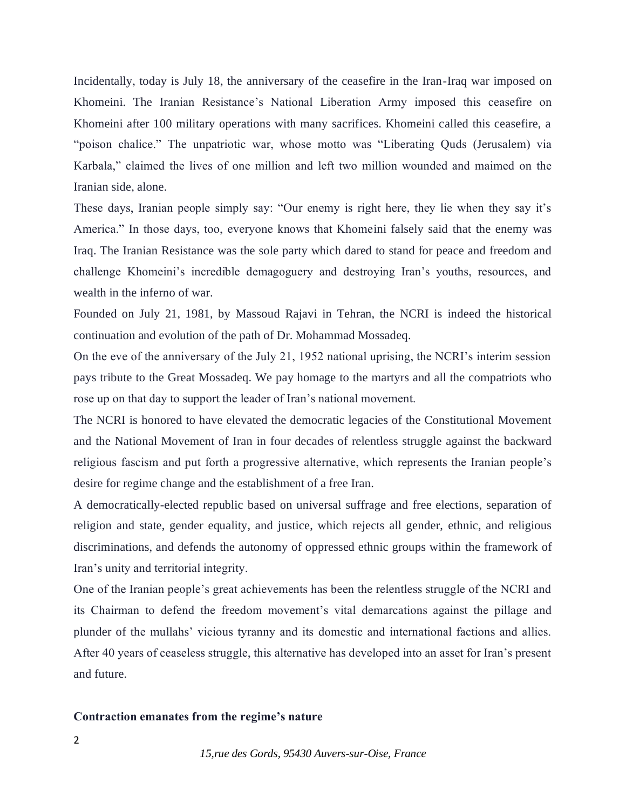Incidentally, today is July 18, the anniversary of the ceasefire in the Iran-Iraq war imposed on Khomeini. The Iranian Resistance's National Liberation Army imposed this ceasefire on Khomeini after 100 military operations with many sacrifices. Khomeini called this ceasefire, a "poison chalice." The unpatriotic war, whose motto was "Liberating Quds (Jerusalem) via Karbala," claimed the lives of one million and left two million wounded and maimed on the Iranian side, alone.

These days, Iranian people simply say: "Our enemy is right here, they lie when they say it's America." In those days, too, everyone knows that Khomeini falsely said that the enemy was Iraq. The Iranian Resistance was the sole party which dared to stand for peace and freedom and challenge Khomeini's incredible demagoguery and destroying Iran's youths, resources, and wealth in the inferno of war.

Founded on July 21, 1981, by Massoud Rajavi in Tehran, the NCRI is indeed the historical continuation and evolution of the path of Dr. Mohammad Mossadeq.

On the eve of the anniversary of the July 21, 1952 national uprising, the NCRI's interim session pays tribute to the Great Mossadeq. We pay homage to the martyrs and all the compatriots who rose up on that day to support the leader of Iran's national movement.

The NCRI is honored to have elevated the democratic legacies of the Constitutional Movement and the National Movement of Iran in four decades of relentless struggle against the backward religious fascism and put forth a progressive alternative, which represents the Iranian people's desire for regime change and the establishment of a free Iran.

A democratically-elected republic based on universal suffrage and free elections, separation of religion and state, gender equality, and justice, which rejects all gender, ethnic, and religious discriminations, and defends the autonomy of oppressed ethnic groups within the framework of Iran's unity and territorial integrity.

One of the Iranian people's great achievements has been the relentless struggle of the NCRI and its Chairman to defend the freedom movement's vital demarcations against the pillage and plunder of the mullahs' vicious tyranny and its domestic and international factions and allies. After 40 years of ceaseless struggle, this alternative has developed into an asset for Iran's present and future.

#### **Contraction emanates from the regime's nature**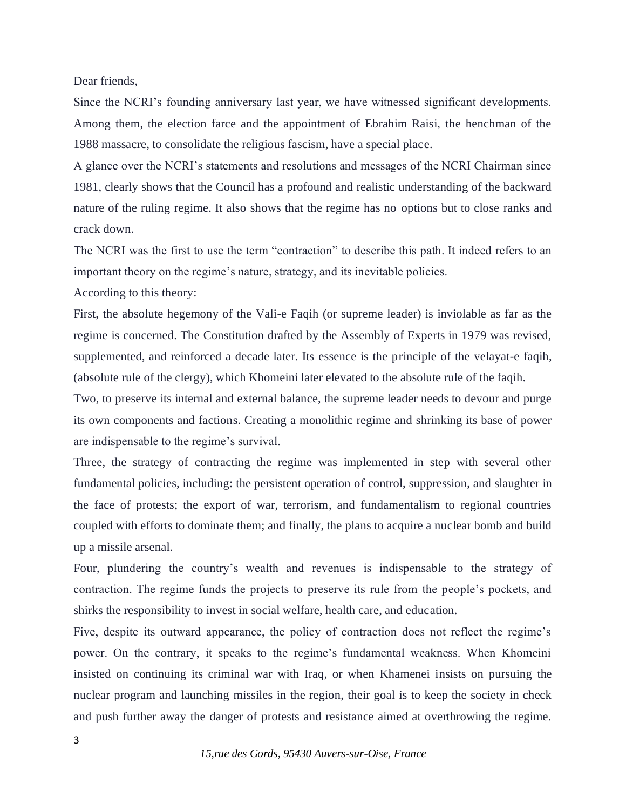Dear friends,

Since the NCRI's founding anniversary last year, we have witnessed significant developments. Among them, the election farce and the appointment of Ebrahim Raisi, the henchman of the 1988 massacre, to consolidate the religious fascism, have a special place.

A glance over the NCRI's statements and resolutions and messages of the NCRI Chairman since 1981, clearly shows that the Council has a profound and realistic understanding of the backward nature of the ruling regime. It also shows that the regime has no options but to close ranks and crack down.

The NCRI was the first to use the term "contraction" to describe this path. It indeed refers to an important theory on the regime's nature, strategy, and its inevitable policies.

According to this theory:

First, the absolute hegemony of the Vali-e Faqih (or supreme leader) is inviolable as far as the regime is concerned. The Constitution drafted by the Assembly of Experts in 1979 was revised, supplemented, and reinforced a decade later. Its essence is the principle of the velayat-e faqih, (absolute rule of the clergy), which Khomeini later elevated to the absolute rule of the faqih.

Two, to preserve its internal and external balance, the supreme leader needs to devour and purge its own components and factions. Creating a monolithic regime and shrinking its base of power are indispensable to the regime's survival.

Three, the strategy of contracting the regime was implemented in step with several other fundamental policies, including: the persistent operation of control, suppression, and slaughter in the face of protests; the export of war, terrorism, and fundamentalism to regional countries coupled with efforts to dominate them; and finally, the plans to acquire a nuclear bomb and build up a missile arsenal.

Four, plundering the country's wealth and revenues is indispensable to the strategy of contraction. The regime funds the projects to preserve its rule from the people's pockets, and shirks the responsibility to invest in social welfare, health care, and education.

Five, despite its outward appearance, the policy of contraction does not reflect the regime's power. On the contrary, it speaks to the regime's fundamental weakness. When Khomeini insisted on continuing its criminal war with Iraq, or when Khamenei insists on pursuing the nuclear program and launching missiles in the region, their goal is to keep the society in check and push further away the danger of protests and resistance aimed at overthrowing the regime.

*15,rue des Gords, 95430 Auvers-sur-Oise, France*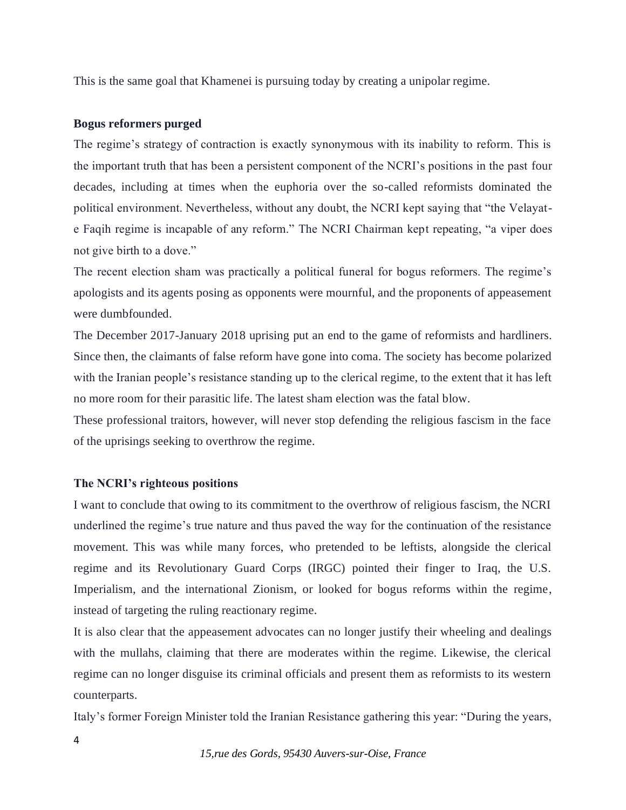This is the same goal that Khamenei is pursuing today by creating a unipolar regime.

#### **Bogus reformers purged**

The regime's strategy of contraction is exactly synonymous with its inability to reform. This is the important truth that has been a persistent component of the NCRI's positions in the past four decades, including at times when the euphoria over the so-called reformists dominated the political environment. Nevertheless, without any doubt, the NCRI kept saying that "the Velayate Faqih regime is incapable of any reform." The NCRI Chairman kept repeating, "a viper does not give birth to a dove."

The recent election sham was practically a political funeral for bogus reformers. The regime's apologists and its agents posing as opponents were mournful, and the proponents of appeasement were dumbfounded.

The December 2017-January 2018 uprising put an end to the game of reformists and hardliners. Since then, the claimants of false reform have gone into coma. The society has become polarized with the Iranian people's resistance standing up to the clerical regime, to the extent that it has left no more room for their parasitic life. The latest sham election was the fatal blow.

These professional traitors, however, will never stop defending the religious fascism in the face of the uprisings seeking to overthrow the regime.

#### **The NCRI's righteous positions**

I want to conclude that owing to its commitment to the overthrow of religious fascism, the NCRI underlined the regime's true nature and thus paved the way for the continuation of the resistance movement. This was while many forces, who pretended to be leftists, alongside the clerical regime and its Revolutionary Guard Corps (IRGC) pointed their finger to Iraq, the U.S. Imperialism, and the international Zionism, or looked for bogus reforms within the regime, instead of targeting the ruling reactionary regime.

It is also clear that the appeasement advocates can no longer justify their wheeling and dealings with the mullahs, claiming that there are moderates within the regime. Likewise, the clerical regime can no longer disguise its criminal officials and present them as reformists to its western counterparts.

Italy's former Foreign Minister told the Iranian Resistance gathering this year: "During the years,

*15,rue des Gords, 95430 Auvers-sur-Oise, France*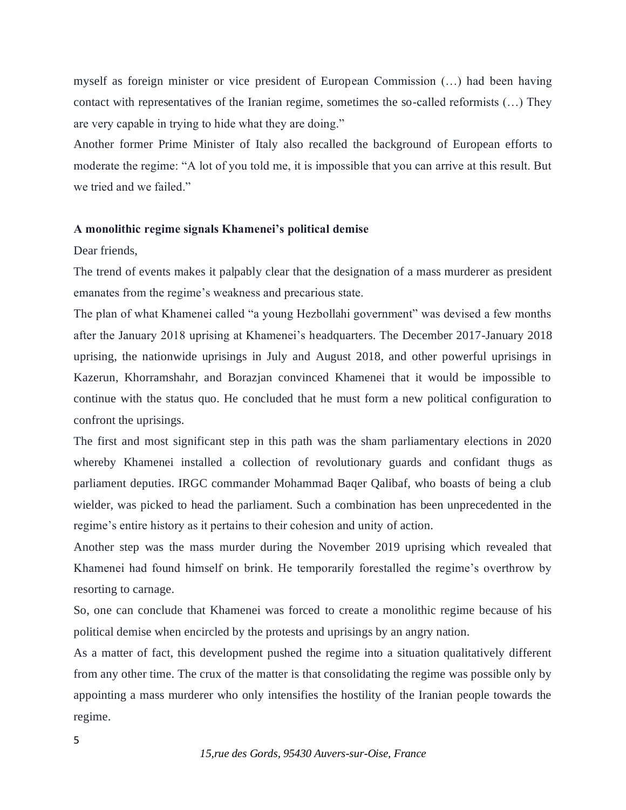myself as foreign minister or vice president of European Commission (…) had been having contact with representatives of the Iranian regime, sometimes the so-called reformists (…) They are very capable in trying to hide what they are doing."

Another former Prime Minister of Italy also recalled the background of European efforts to moderate the regime: "A lot of you told me, it is impossible that you can arrive at this result. But we tried and we failed."

#### **A monolithic regime signals Khamenei's political demise**

#### Dear friends,

The trend of events makes it palpably clear that the designation of a mass murderer as president emanates from the regime's weakness and precarious state.

The plan of what Khamenei called "a young Hezbollahi government" was devised a few months after the January 2018 uprising at Khamenei's headquarters. The December 2017-January 2018 uprising, the nationwide uprisings in July and August 2018, and other powerful uprisings in Kazerun, Khorramshahr, and Borazjan convinced Khamenei that it would be impossible to continue with the status quo. He concluded that he must form a new political configuration to confront the uprisings.

The first and most significant step in this path was the sham parliamentary elections in 2020 whereby Khamenei installed a collection of revolutionary guards and confidant thugs as parliament deputies. IRGC commander Mohammad Baqer Qalibaf, who boasts of being a club wielder, was picked to head the parliament. Such a combination has been unprecedented in the regime's entire history as it pertains to their cohesion and unity of action.

Another step was the mass murder during the November 2019 uprising which revealed that Khamenei had found himself on brink. He temporarily forestalled the regime's overthrow by resorting to carnage.

So, one can conclude that Khamenei was forced to create a monolithic regime because of his political demise when encircled by the protests and uprisings by an angry nation.

As a matter of fact, this development pushed the regime into a situation qualitatively different from any other time. The crux of the matter is that consolidating the regime was possible only by appointing a mass murderer who only intensifies the hostility of the Iranian people towards the regime.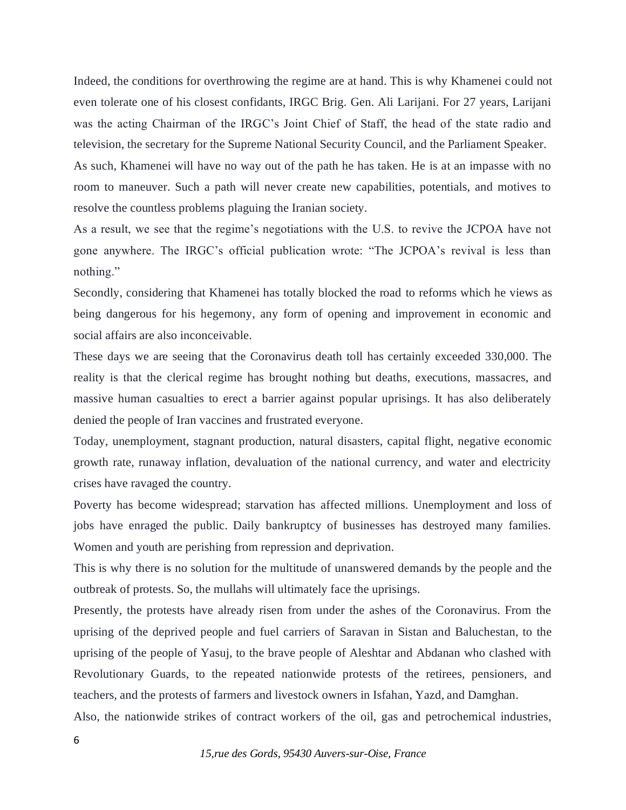Indeed, the conditions for overthrowing the regime are at hand. This is why Khamenei could not even tolerate one of his closest confidants, IRGC Brig. Gen. Ali Larijani. For 27 years, Larijani was the acting Chairman of the IRGC's Joint Chief of Staff, the head of the state radio and television, the secretary for the Supreme National Security Council, and the Parliament Speaker.

As such, Khamenei will have no way out of the path he has taken. He is at an impasse with no room to maneuver. Such a path will never create new capabilities, potentials, and motives to resolve the countless problems plaguing the Iranian society.

As a result, we see that the regime's negotiations with the U.S. to revive the JCPOA have not gone anywhere. The IRGC's official publication wrote: "The JCPOA's revival is less than nothing."

Secondly, considering that Khamenei has totally blocked the road to reforms which he views as being dangerous for his hegemony, any form of opening and improvement in economic and social affairs are also inconceivable.

These days we are seeing that the Coronavirus death toll has certainly exceeded 330,000. The reality is that the clerical regime has brought nothing but deaths, executions, massacres, and massive human casualties to erect a barrier against popular uprisings. It has also deliberately denied the people of Iran vaccines and frustrated everyone.

Today, unemployment, stagnant production, natural disasters, capital flight, negative economic growth rate, runaway inflation, devaluation of the national currency, and water and electricity crises have ravaged the country.

Poverty has become widespread; starvation has affected millions. Unemployment and loss of jobs have enraged the public. Daily bankruptcy of businesses has destroyed many families. Women and youth are perishing from repression and deprivation.

This is why there is no solution for the multitude of unanswered demands by the people and the outbreak of protests. So, the mullahs will ultimately face the uprisings.

Presently, the protests have already risen from under the ashes of the Coronavirus. From the uprising of the deprived people and fuel carriers of Saravan in Sistan and Baluchestan, to the uprising of the people of Yasuj, to the brave people of Aleshtar and Abdanan who clashed with Revolutionary Guards, to the repeated nationwide protests of the retirees, pensioners, and teachers, and the protests of farmers and livestock owners in Isfahan, Yazd, and Damghan.

Also, the nationwide strikes of contract workers of the oil, gas and petrochemical industries,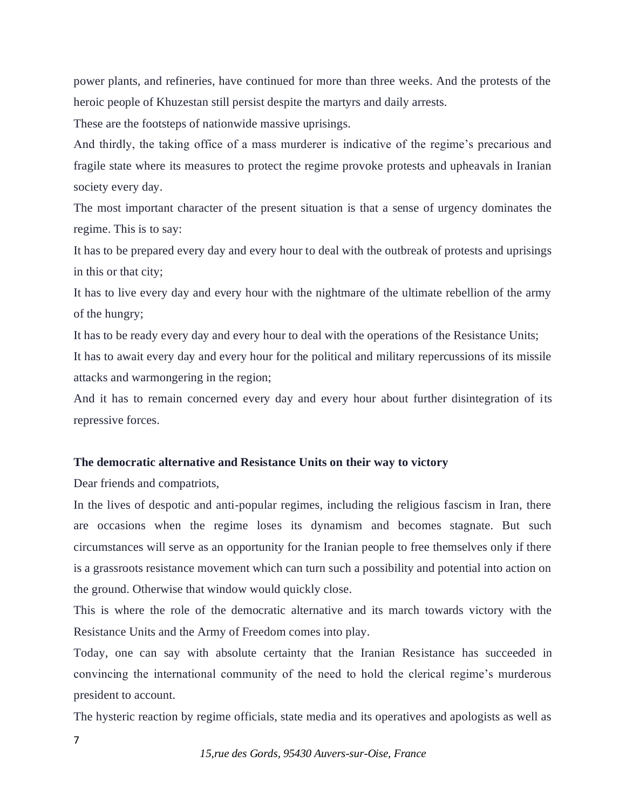power plants, and refineries, have continued for more than three weeks. And the protests of the heroic people of Khuzestan still persist despite the martyrs and daily arrests.

These are the footsteps of nationwide massive uprisings.

And thirdly, the taking office of a mass murderer is indicative of the regime's precarious and fragile state where its measures to protect the regime provoke protests and upheavals in Iranian society every day.

The most important character of the present situation is that a sense of urgency dominates the regime. This is to say:

It has to be prepared every day and every hour to deal with the outbreak of protests and uprisings in this or that city;

It has to live every day and every hour with the nightmare of the ultimate rebellion of the army of the hungry;

It has to be ready every day and every hour to deal with the operations of the Resistance Units;

It has to await every day and every hour for the political and military repercussions of its missile attacks and warmongering in the region;

And it has to remain concerned every day and every hour about further disintegration of its repressive forces.

#### **The democratic alternative and Resistance Units on their way to victory**

Dear friends and compatriots,

In the lives of despotic and anti-popular regimes, including the religious fascism in Iran, there are occasions when the regime loses its dynamism and becomes stagnate. But such circumstances will serve as an opportunity for the Iranian people to free themselves only if there is a grassroots resistance movement which can turn such a possibility and potential into action on the ground. Otherwise that window would quickly close.

This is where the role of the democratic alternative and its march towards victory with the Resistance Units and the Army of Freedom comes into play.

Today, one can say with absolute certainty that the Iranian Resistance has succeeded in convincing the international community of the need to hold the clerical regime's murderous president to account.

The hysteric reaction by regime officials, state media and its operatives and apologists as well as